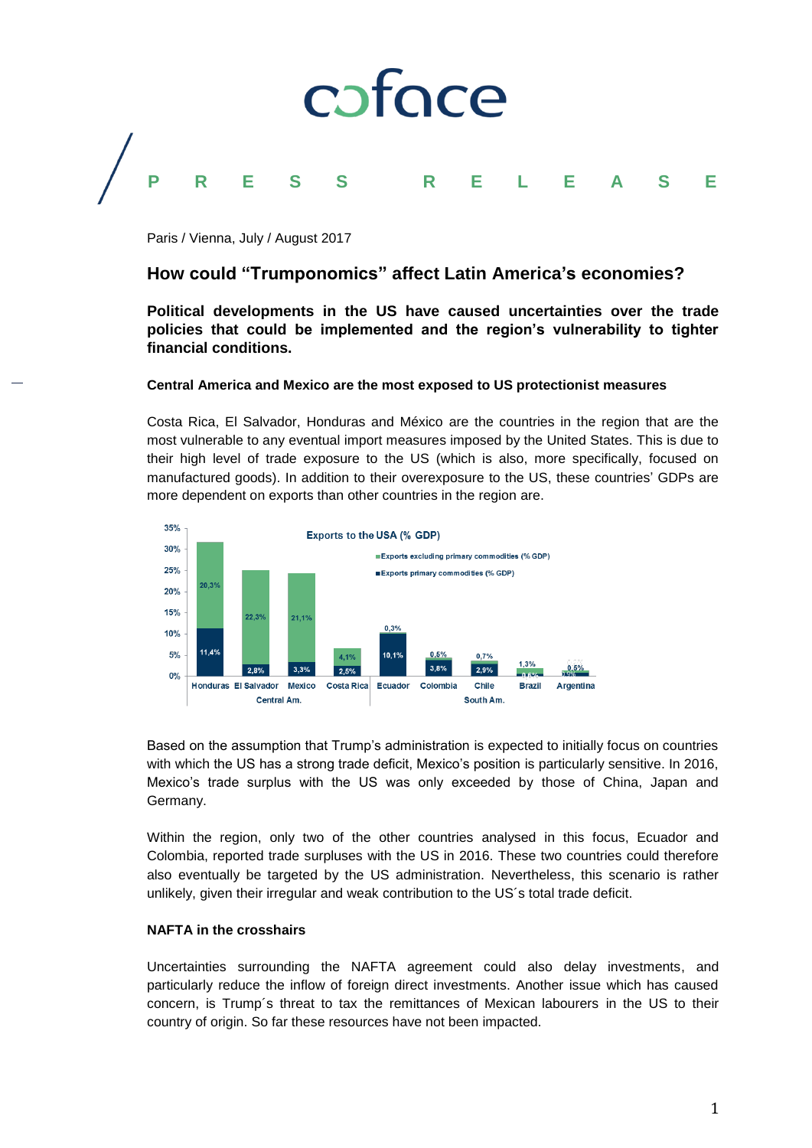

Paris / Vienna, July / August 2017

# **How could "Trumponomics" affect Latin America's economies?**

**Political developments in the US have caused uncertainties over the trade policies that could be implemented and the region's vulnerability to tighter financial conditions.** 

# **Central America and Mexico are the most exposed to US protectionist measures**

Costa Rica, El Salvador, Honduras and México are the countries in the region that are the most vulnerable to any eventual import measures imposed by the United States. This is due to their high level of trade exposure to the US (which is also, more specifically, focused on manufactured goods). In addition to their overexposure to the US, these countries' GDPs are more dependent on exports than other countries in the region are.



Based on the assumption that Trump's administration is expected to initially focus on countries with which the US has a strong trade deficit, Mexico's position is particularly sensitive. In 2016, Mexico's trade surplus with the US was only exceeded by those of China, Japan and Germany.

Within the region, only two of the other countries analysed in this focus, Ecuador and Colombia, reported trade surpluses with the US in 2016. These two countries could therefore also eventually be targeted by the US administration. Nevertheless, this scenario is rather unlikely, given their irregular and weak contribution to the US´s total trade deficit.

# **NAFTA in the crosshairs**

Uncertainties surrounding the NAFTA agreement could also delay investments, and particularly reduce the inflow of foreign direct investments. Another issue which has caused concern, is Trump´s threat to tax the remittances of Mexican labourers in the US to their country of origin. So far these resources have not been impacted.